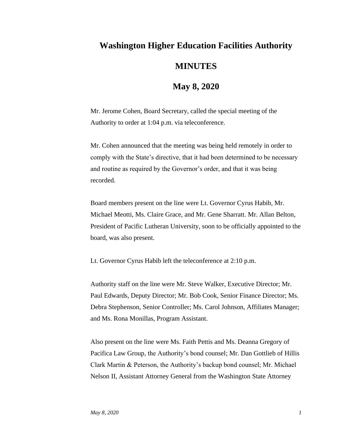## **Washington Higher Education Facilities Authority MINUTES**

## **May 8, 2020**

Mr. Jerome Cohen, Board Secretary, called the special meeting of the Authority to order at 1:04 p.m. via teleconference.

Mr. Cohen announced that the meeting was being held remotely in order to comply with the State's directive, that it had been determined to be necessary and routine as required by the Governor's order, and that it was being recorded.

Board members present on the line were Lt. Governor Cyrus Habib, Mr. Michael Meotti, Ms. Claire Grace, and Mr. Gene Sharratt. Mr. Allan Belton, President of Pacific Lutheran University, soon to be officially appointed to the board, was also present.

Lt. Governor Cyrus Habib left the teleconference at 2:10 p.m.

Authority staff on the line were Mr. Steve Walker, Executive Director; Mr. Paul Edwards, Deputy Director; Mr. Bob Cook, Senior Finance Director; Ms. Debra Stephenson, Senior Controller; Ms. Carol Johnson, Affiliates Manager; and Ms. Rona Monillas, Program Assistant.

Also present on the line were Ms. Faith Pettis and Ms. Deanna Gregory of Pacifica Law Group, the Authority's bond counsel; Mr. Dan Gottlieb of Hillis Clark Martin & Peterson, the Authority's backup bond counsel; Mr. Michael Nelson II, Assistant Attorney General from the Washington State Attorney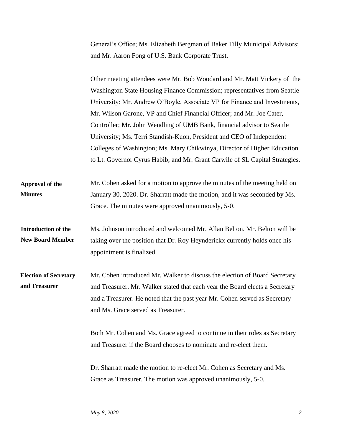General's Office; Ms. Elizabeth Bergman of Baker Tilly Municipal Advisors; and Mr. Aaron Fong of U.S. Bank Corporate Trust.

|                                                | Other meeting attendees were Mr. Bob Woodard and Mr. Matt Vickery of the                                                                                                                                                                                                       |
|------------------------------------------------|--------------------------------------------------------------------------------------------------------------------------------------------------------------------------------------------------------------------------------------------------------------------------------|
|                                                | Washington State Housing Finance Commission; representatives from Seattle                                                                                                                                                                                                      |
|                                                | University: Mr. Andrew O'Boyle, Associate VP for Finance and Investments,                                                                                                                                                                                                      |
|                                                | Mr. Wilson Garone, VP and Chief Financial Officer; and Mr. Joe Cater,                                                                                                                                                                                                          |
|                                                | Controller; Mr. John Wendling of UMB Bank, financial advisor to Seattle                                                                                                                                                                                                        |
|                                                | University; Ms. Terri Standish-Kuon, President and CEO of Independent                                                                                                                                                                                                          |
|                                                | Colleges of Washington; Ms. Mary Chikwinya, Director of Higher Education                                                                                                                                                                                                       |
|                                                | to Lt. Governor Cyrus Habib; and Mr. Grant Carwile of SL Capital Strategies.                                                                                                                                                                                                   |
| Approval of the<br><b>Minutes</b>              | Mr. Cohen asked for a motion to approve the minutes of the meeting held on<br>January 30, 2020. Dr. Sharratt made the motion, and it was seconded by Ms.                                                                                                                       |
|                                                | Grace. The minutes were approved unanimously, 5-0.                                                                                                                                                                                                                             |
| Introduction of the<br><b>New Board Member</b> | Ms. Johnson introduced and welcomed Mr. Allan Belton. Mr. Belton will be<br>taking over the position that Dr. Roy Heynderickx currently holds once his<br>appointment is finalized.                                                                                            |
| <b>Election of Secretary</b><br>and Treasurer  | Mr. Cohen introduced Mr. Walker to discuss the election of Board Secretary<br>and Treasurer. Mr. Walker stated that each year the Board elects a Secretary<br>and a Treasurer. He noted that the past year Mr. Cohen served as Secretary<br>and Ms. Grace served as Treasurer. |
|                                                | Both Mr. Cohen and Ms. Grace agreed to continue in their roles as Secretary<br>and Treasurer if the Board chooses to nominate and re-elect them.                                                                                                                               |
|                                                | Dr. Sharratt made the motion to re-elect Mr. Cohen as Secretary and Ms.<br>Grace as Treasurer. The motion was approved unanimously, 5-0.                                                                                                                                       |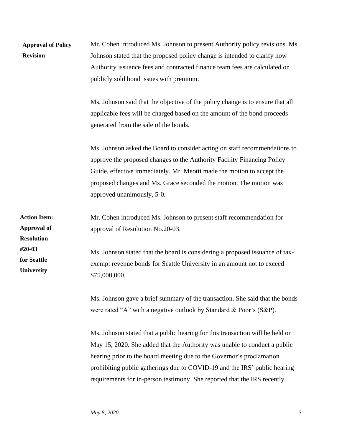| <b>Approval of Policy</b><br><b>Revision</b>                   | Mr. Cohen introduced Ms. Johnson to present Authority policy revisions. Ms.<br>Johnson stated that the proposed policy change is intended to clarify how<br>Authority issuance fees and contracted finance team fees are calculated on<br>publicly sold bond issues with premium.                                                   |
|----------------------------------------------------------------|-------------------------------------------------------------------------------------------------------------------------------------------------------------------------------------------------------------------------------------------------------------------------------------------------------------------------------------|
|                                                                | Ms. Johnson said that the objective of the policy change is to ensure that all<br>applicable fees will be charged based on the amount of the bond proceeds<br>generated from the sale of the bonds.                                                                                                                                 |
|                                                                | Ms. Johnson asked the Board to consider acting on staff recommendations to<br>approve the proposed changes to the Authority Facility Financing Policy<br>Guide, effective immediately. Mr. Meotti made the motion to accept the<br>proposed changes and Ms. Grace seconded the motion. The motion was<br>approved unanimously, 5-0. |
| <b>Action Item:</b><br><b>Approval of</b><br><b>Resolution</b> | Mr. Cohen introduced Ms. Johnson to present staff recommendation for<br>approval of Resolution No.20-03.                                                                                                                                                                                                                            |
| #20-03<br>for Seattle<br>University                            | Ms. Johnson stated that the board is considering a proposed issuance of tax-<br>exempt revenue bonds for Seattle University in an amount not to exceed<br>\$75,000,000.                                                                                                                                                             |
|                                                                | Ms. Johnson gave a brief summary of the transaction. She said that the bonds<br>were rated "A" with a negative outlook by Standard & Poor's (S&P).                                                                                                                                                                                  |

Ms. Johnson stated that a public hearing for this transaction will be held on May 15, 2020. She added that the Authority was unable to conduct a public hearing prior to the board meeting due to the Governor's proclamation prohibiting public gatherings due to COVID-19 and the IRS' public hearing requirements for in-person testimony. She reported that the IRS recently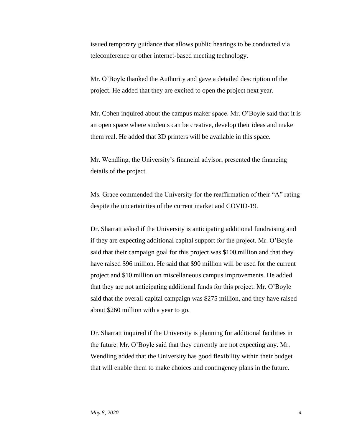issued temporary guidance that allows public hearings to be conducted via teleconference or other internet-based meeting technology.

Mr. O'Boyle thanked the Authority and gave a detailed description of the project. He added that they are excited to open the project next year.

Mr. Cohen inquired about the campus maker space. Mr. O'Boyle said that it is an open space where students can be creative, develop their ideas and make them real. He added that 3D printers will be available in this space.

Mr. Wendling, the University's financial advisor, presented the financing details of the project.

Ms. Grace commended the University for the reaffirmation of their "A" rating despite the uncertainties of the current market and COVID-19.

Dr. Sharratt asked if the University is anticipating additional fundraising and if they are expecting additional capital support for the project. Mr. O'Boyle said that their campaign goal for this project was \$100 million and that they have raised \$96 million. He said that \$90 million will be used for the current project and \$10 million on miscellaneous campus improvements. He added that they are not anticipating additional funds for this project. Mr. O'Boyle said that the overall capital campaign was \$275 million, and they have raised about \$260 million with a year to go.

Dr. Sharratt inquired if the University is planning for additional facilities in the future. Mr. O'Boyle said that they currently are not expecting any. Mr. Wendling added that the University has good flexibility within their budget that will enable them to make choices and contingency plans in the future.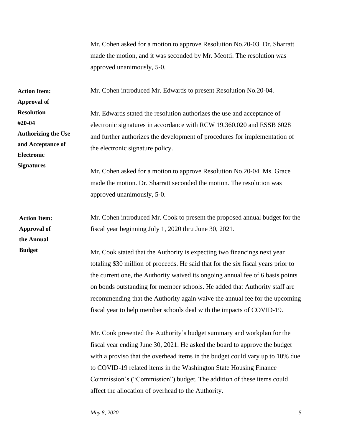Mr. Cohen asked for a motion to approve Resolution No.20-03. Dr. Sharratt made the motion, and it was seconded by Mr. Meotti. The resolution was approved unanimously, 5-0.

Mr. Cohen introduced Mr. Edwards to present Resolution No.20-04.

Mr. Edwards stated the resolution authorizes the use and acceptance of electronic signatures in accordance with RCW 19.360.020 and ESSB 6028 and further authorizes the development of procedures for implementation of the electronic signature policy.

Mr. Cohen asked for a motion to approve Resolution No.20-04. Ms. Grace made the motion. Dr. Sharratt seconded the motion. The resolution was approved unanimously, 5-0.

Mr. Cohen introduced Mr. Cook to present the proposed annual budget for the fiscal year beginning July 1, 2020 thru June 30, 2021.

Mr. Cook stated that the Authority is expecting two financings next year totaling \$30 million of proceeds. He said that for the six fiscal years prior to the current one, the Authority waived its ongoing annual fee of 6 basis points on bonds outstanding for member schools. He added that Authority staff are recommending that the Authority again waive the annual fee for the upcoming fiscal year to help member schools deal with the impacts of COVID-19.

Mr. Cook presented the Authority's budget summary and workplan for the fiscal year ending June 30, 2021. He asked the board to approve the budget with a proviso that the overhead items in the budget could vary up to 10% due to COVID-19 related items in the Washington State Housing Finance Commission's ("Commission") budget. The addition of these items could affect the allocation of overhead to the Authority.

**Action Item: Approval of Resolution #20-04 Authorizing the Use and Acceptance of Electronic Signatures**

**Action Item: Approval of the Annual Budget**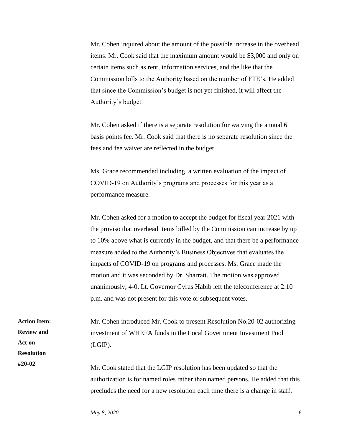Mr. Cohen inquired about the amount of the possible increase in the overhead items. Mr. Cook said that the maximum amount would be \$3,000 and only on certain items such as rent, information services, and the like that the Commission bills to the Authority based on the number of FTE's. He added that since the Commission's budget is not yet finished, it will affect the Authority's budget.

Mr. Cohen asked if there is a separate resolution for waiving the annual 6 basis points fee. Mr. Cook said that there is no separate resolution since the fees and fee waiver are reflected in the budget.

Ms. Grace recommended including a written evaluation of the impact of COVID-19 on Authority's programs and processes for this year as a performance measure.

Mr. Cohen asked for a motion to accept the budget for fiscal year 2021 with the proviso that overhead items billed by the Commission can increase by up to 10% above what is currently in the budget, and that there be a performance measure added to the Authority's Business Objectives that evaluates the impacts of COVID-19 on programs and processes. Ms. Grace made the motion and it was seconded by Dr. Sharratt. The motion was approved unanimously, 4-0. Lt. Governor Cyrus Habib left the teleconference at 2:10 p.m. and was not present for this vote or subsequent votes.

**Action Item: Review and Act on Resolution #20-02** 

Mr. Cohen introduced Mr. Cook to present Resolution No.20-02 authorizing investment of WHEFA funds in the Local Government Investment Pool (LGIP).

Mr. Cook stated that the LGIP resolution has been updated so that the authorization is for named roles rather than named persons. He added that this precludes the need for a new resolution each time there is a change in staff.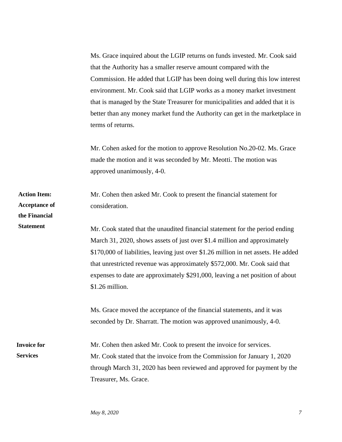Ms. Grace inquired about the LGIP returns on funds invested. Mr. Cook said that the Authority has a smaller reserve amount compared with the Commission. He added that LGIP has been doing well during this low interest environment. Mr. Cook said that LGIP works as a money market investment that is managed by the State Treasurer for municipalities and added that it is better than any money market fund the Authority can get in the marketplace in terms of returns.

Mr. Cohen asked for the motion to approve Resolution No.20-02. Ms. Grace made the motion and it was seconded by Mr. Meotti. The motion was approved unanimously, 4-0.

Mr. Cohen then asked Mr. Cook to present the financial statement for consideration. Mr. Cook stated that the unaudited financial statement for the period ending March 31, 2020, shows assets of just over \$1.4 million and approximately \$170,000 of liabilities, leaving just over \$1.26 million in net assets. He added that unrestricted revenue was approximately \$572,000. Mr. Cook said that expenses to date are approximately \$291,000, leaving a net position of about \$1.26 million. Ms. Grace moved the acceptance of the financial statements, and it was seconded by Dr. Sharratt. The motion was approved unanimously, 4-0. Mr. Cohen then asked Mr. Cook to present the invoice for services. Mr. Cook stated that the invoice from the Commission for January 1, 2020 through March 31, 2020 has been reviewed and approved for payment by the Treasurer, Ms. Grace. **Action Item: Acceptance of the Financial Statement Invoice for Services**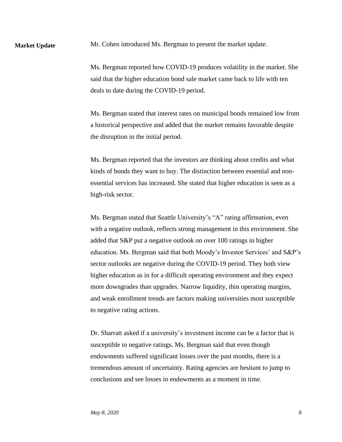Mr. Cohen introduced Ms. Bergman to present the market update.

**Market Update**

Ms. Bergman reported how COVID-19 produces volatility in the market. She said that the higher education bond sale market came back to life with ten deals to date during the COVID-19 period.

Ms. Bergman stated that interest rates on municipal bonds remained low from a historical perspective and added that the market remains favorable despite the disruption in the initial period.

Ms. Bergman reported that the investors are thinking about credits and what kinds of bonds they want to buy. The distinction between essential and nonessential services has increased. She stated that higher education is seen as a high-risk sector.

Ms. Bergman stated that Seattle University's "A" rating affirmation, even with a negative outlook, reflects strong management in this environment. She added that S&P put a negative outlook on over 100 ratings in higher education. Ms. Bergman said that both Moody's Investor Services' and S&P's sector outlooks are negative during the COVID-19 period. They both view higher education as in for a difficult operating environment and they expect more downgrades than upgrades. Narrow liquidity, thin operating margins, and weak enrollment trends are factors making universities most susceptible to negative rating actions.

Dr. Sharratt asked if a university's investment income can be a factor that is susceptible to negative ratings. Ms. Bergman said that even though endowments suffered significant losses over the past months, there is a tremendous amount of uncertainty. Rating agencies are hesitant to jump to conclusions and see losses in endowments as a moment in time.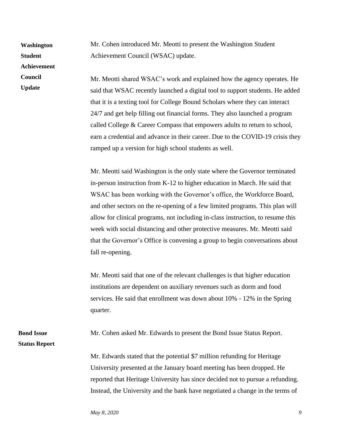**Washington Student Achievement Council** 

**Update**

Mr. Cohen introduced Mr. Meotti to present the Washington Student Achievement Council (WSAC) update.

Mr. Meotti shared WSAC's work and explained how the agency operates. He said that WSAC recently launched a digital tool to support students. He added that it is a texting tool for College Bound Scholars where they can interact 24/7 and get help filling out financial forms. They also launched a program called College & Career Compass that empowers adults to return to school, earn a credential and advance in their career. Due to the COVID-19 crisis they ramped up a version for high school students as well.

Mr. Meotti said Washington is the only state where the Governor terminated in-person instruction from K-12 to higher education in March. He said that WSAC has been working with the Governor's office, the Workforce Board, and other sectors on the re-opening of a few limited programs. This plan will allow for clinical programs, not including in-class instruction, to resume this week with social distancing and other protective measures. Mr. Meotti said that the Governor's Office is convening a group to begin conversations about fall re-opening.

Mr. Meotti said that one of the relevant challenges is that higher education institutions are dependent on auxiliary revenues such as dorm and food services. He said that enrollment was down about 10% - 12% in the Spring quarter.

Mr. Cohen asked Mr. Edwards to present the Bond Issue Status Report.

**Status Report**

**Bond Issue** 

Mr. Edwards stated that the potential \$7 million refunding for Heritage University presented at the January board meeting has been dropped. He reported that Heritage University has since decided not to pursue a refunding. Instead, the University and the bank have negotiated a change in the terms of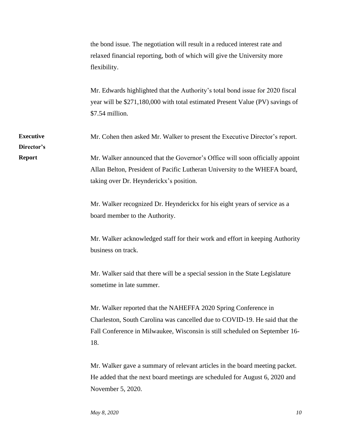the bond issue. The negotiation will result in a reduced interest rate and relaxed financial reporting, both of which will give the University more flexibility. Mr. Edwards highlighted that the Authority's total bond issue for 2020 fiscal year will be \$271,180,000 with total estimated Present Value (PV) savings of \$7.54 million. Mr. Cohen then asked Mr. Walker to present the Executive Director's report. Mr. Walker announced that the Governor's Office will soon officially appoint Allan Belton, President of Pacific Lutheran University to the WHEFA board, taking over Dr. Heynderickx's position. Mr. Walker recognized Dr. Heynderickx for his eight years of service as a board member to the Authority. Mr. Walker acknowledged staff for their work and effort in keeping Authority business on track. Mr. Walker said that there will be a special session in the State Legislature sometime in late summer. **Executive Director's Report**

> Mr. Walker reported that the NAHEFFA 2020 Spring Conference in Charleston, South Carolina was cancelled due to COVID-19. He said that the Fall Conference in Milwaukee, Wisconsin is still scheduled on September 16- 18.

Mr. Walker gave a summary of relevant articles in the board meeting packet. He added that the next board meetings are scheduled for August 6, 2020 and November 5, 2020.